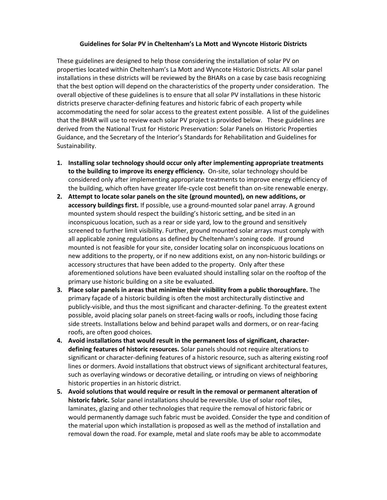## **Guidelines for Solar PV in Cheltenham's La Mott and Wyncote Historic Districts**

These guidelines are designed to help those considering the installation of solar PV on properties located within Cheltenham's La Mott and Wyncote Historic Districts. All solar panel installations in these districts will be reviewed by the BHARs on a case by case basis recognizing that the best option will depend on the characteristics of the property under consideration. The overall objective of these guidelines is to ensure that all solar PV installations in these historic districts preserve character-defining features and historic fabric of each property while accommodating the need for solar access to the greatest extent possible. A list of the guidelines that the BHAR will use to review each solar PV project is provided below. These guidelines are derived from the National Trust for Historic Preservation: Solar Panels on Historic Properties Guidance, and the Secretary of the Interior's Standards for Rehabilitation and Guidelines for Sustainability.

- **1. Installing solar technology should occur only after implementing appropriate treatments to the building to improve its energy efficiency.** On-site, solar technology should be considered only after implementing appropriate treatments to improve energy efficiency of the building, which often have greater life-cycle cost benefit than on-site renewable energy.
- **2. Attempt to locate solar panels on the site (ground mounted), on new additions, or accessory buildings first.** If possible, use a ground-mounted solar panel array. A ground mounted system should respect the building's historic setting, and be sited in an inconspicuous location, such as a rear or side yard, low to the ground and sensitively screened to further limit visibility. Further, ground mounted solar arrays must comply with all applicable zoning regulations as defined by Cheltenham's zoning code. If ground mounted is not feasible for your site, consider locating solar on inconspicuous locations on new additions to the property, or if no new additions exist, on any non-historic buildings or accessory structures that have been added to the property. Only after these aforementioned solutions have been evaluated should installing solar on the rooftop of the primary use historic building on a site be evaluated.
- **3. Place solar panels in areas that minimize their visibility from a public thoroughfare.** The primary façade of a historic building is often the most architecturally distinctive and publicly-visible, and thus the most significant and character-defining. To the greatest extent possible, avoid placing solar panels on street-facing walls or roofs, including those facing side streets. Installations below and behind parapet walls and dormers, or on rear-facing roofs, are often good choices.
- **4. Avoid installations that would result in the permanent loss of significant, characterdefining features of historic resources.** Solar panels should not require alterations to significant or character-defining features of a historic resource, such as altering existing roof lines or dormers. Avoid installations that obstruct views of significant architectural features, such as overlaying windows or decorative detailing, or intruding on views of neighboring historic properties in an historic district.
- **5. Avoid solutions that would require or result in the removal or permanent alteration of historic fabric.** Solar panel installations should be reversible. Use of solar roof tiles, laminates, glazing and other technologies that require the removal of historic fabric or would permanently damage such fabric must be avoided. Consider the type and condition of the material upon which installation is proposed as well as the method of installation and removal down the road. For example, metal and slate roofs may be able to accommodate